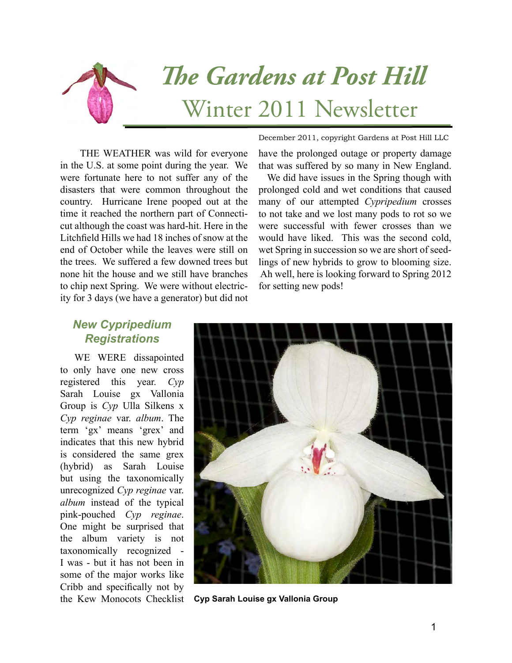

THE WEATHER was wild for everyone in the U.S. at some point during the year. We were fortunate here to not suffer any of the disasters that were common throughout the country. Hurricane Irene pooped out at the time it reached the northern part of Connecticut although the coast was hard-hit. Here in the Litchfield Hills we had 18 inches of snow at the end of October while the leaves were still on the trees. We suffered a few downed trees but none hit the house and we still have branches to chip next Spring. We were without electricity for 3 days (we have a generator) but did not

December 2011, copyright Gardens at Post Hill LLC

have the prolonged outage or property damage that was suffered by so many in New England.

 We did have issues in the Spring though with prolonged cold and wet conditions that caused many of our attempted *Cypripedium* crosses to not take and we lost many pods to rot so we were successful with fewer crosses than we would have liked. This was the second cold, wet Spring in succession so we are short of seedlings of new hybrids to grow to blooming size. Ah well, here is looking forward to Spring 2012 for setting new pods!

## *New Cypripedium Registrations*

WE WERE dissapointed to only have one new cross registered this year. *Cyp* Sarah Louise gx Vallonia Group is *Cyp* Ulla Silkens x *Cyp reginae* var. *album*. The term 'gx' means 'grex' and indicates that this new hybrid is considered the same grex (hybrid) as Sarah Louise but using the taxonomically unrecognized *Cyp reginae* var. *album* instead of the typical pink-pouched *Cyp reginae*. One might be surprised that the album variety is not taxonomically recognized - I was - but it has not been in some of the major works like Cribb and specifically not by



the Kew Monocots Checklist **Cyp Sarah Louise gx Vallonia Group**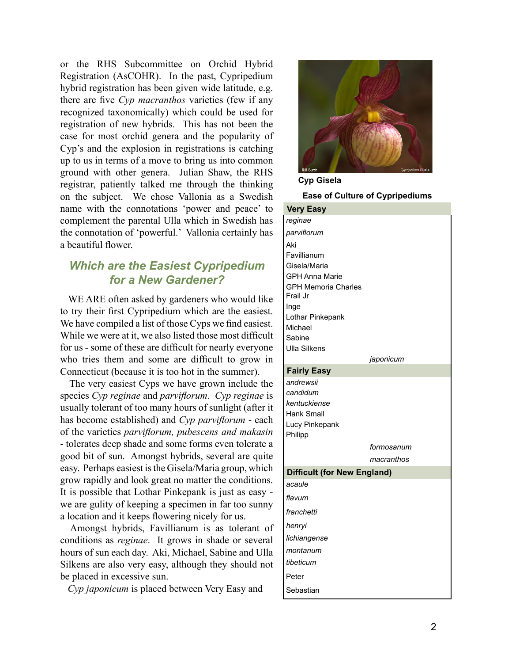or the RHS Subcommittee on Orchid Hybrid Registration (AsCOHR). In the past, Cypripedium hybrid registration has been given wide latitude, e.g. there are five *Cyp macranthos* varieties (few if any recognized taxonomically) which could be used for registration of new hybrids. This has not been the case for most orchid genera and the popularity of Cyp's and the explosion in registrations is catching up to us in terms of a move to bring us into common ground with other genera. Julian Shaw, the RHS registrar, patiently talked me through the thinking on the subject. We chose Vallonia as a Swedish name with the connotations 'power and peace' to complement the parental Ulla which in Swedish has the connotation of 'powerful.' Vallonia certainly has a beautiful flower.

## *Which are the Easiest Cypripedium for a New Gardener?*

 WE ARE often asked by gardeners who would like to try their first Cypripedium which are the easiest. We have compiled a list of those Cyps we find easiest. While we were at it, we also listed those most difficult for us - some of these are difficult for nearly everyone who tries them and some are difficult to grow in Connecticut (because it is too hot in the summer).

 The very easiest Cyps we have grown include the species *Cyp reginae* and *parviflorum*. *Cyp reginae* is usually tolerant of too many hours of sunlight (after it has become established) and *Cyp parviflorum* - each of the varieties *parviflorum, pubescens and makasin* - tolerates deep shade and some forms even tolerate a good bit of sun. Amongst hybrids, several are quite easy. Perhaps easiest is the Gisela/Maria group, which grow rapidly and look great no matter the conditions. It is possible that Lothar Pinkepank is just as easy we are gulity of keeping a specimen in far too sunny a location and it keeps flowering nicely for us.

 Amongst hybrids, Favillianum is as tolerant of conditions as *reginae*. It grows in shade or several hours of sun each day. Aki, Michael, Sabine and Ulla Silkens are also very easy, although they should not be placed in excessive sun.

*Cyp japonicum* is placed between Very Easy and



**Cyp Gisela**

**Ease of Culture of Cypripediums**

| <b>Very Easy</b>                       |
|----------------------------------------|
| reginae                                |
| parviflorum                            |
| Aki                                    |
| Favillianum                            |
| Gisela/Maria                           |
| <b>GPH Anna Marie</b>                  |
| <b>GPH Memoria Charles</b><br>Frail Jr |
| Inge                                   |
| Lothar Pinkepank                       |
| Michael                                |
| Sabine                                 |
| <b>Ulla Silkens</b>                    |
| japonicum                              |
| <b>Fairly Easy</b>                     |
| andrewsii                              |
| candidum                               |
| kentuckiense<br>Hank Small             |
| Lucy Pinkepank                         |
| Philipp                                |
| formosanum                             |
| macranthos                             |
| <b>Difficult (for New England)</b>     |
| acaule                                 |
| flavum                                 |
| franchetti                             |
|                                        |
| henryi                                 |
| lichiangense                           |
| montanum                               |
| tibeticum                              |
| Peter                                  |
| Sebastian                              |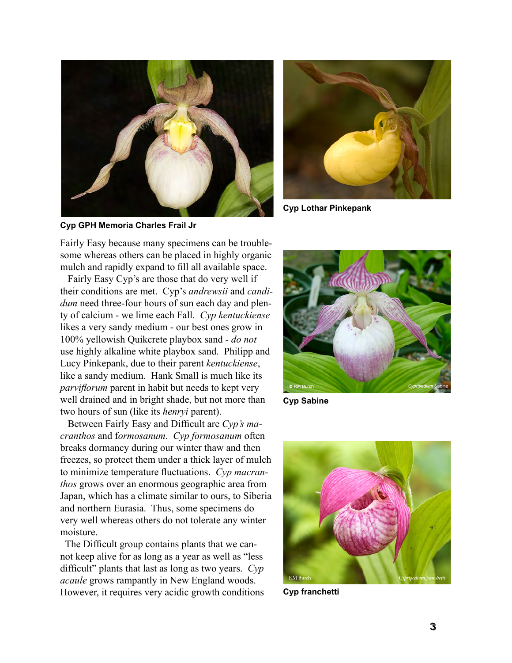



**Cyp Lothar Pinkepank**

**Cyp GPH Memoria Charles Frail Jr**

Fairly Easy because many specimens can be troublesome whereas others can be placed in highly organic mulch and rapidly expand to fill all available space.

 Fairly Easy Cyp's are those that do very well if their conditions are met. Cyp's *andrewsii* and *candidum* need three-four hours of sun each day and plenty of calcium - we lime each Fall. *Cyp kentuckiense* likes a very sandy medium - our best ones grow in 100% yellowish Quikcrete playbox sand - *do not* use highly alkaline white playbox sand. Philipp and Lucy Pinkepank, due to their parent *kentuckiense*, like a sandy medium. Hank Small is much like its *parviflorum* parent in habit but needs to kept very well drained and in bright shade, but not more than two hours of sun (like its *henryi* parent).

 Between Fairly Easy and Difficult are *Cyp's macranthos* and f*ormosanum*. *Cyp formosanum* often breaks dormancy during our winter thaw and then freezes, so protect them under a thick layer of mulch to minimize temperature fluctuations. *Cyp macranthos* grows over an enormous geographic area from Japan, which has a climate similar to ours, to Siberia and northern Eurasia. Thus, some specimens do very well whereas others do not tolerate any winter moisture.

 The Difficult group contains plants that we cannot keep alive for as long as a year as well as "less difficult" plants that last as long as two years. *Cyp acaule* grows rampantly in New England woods. However, it requires very acidic growth conditions



**Cyp Sabine**



**Cyp franchetti**